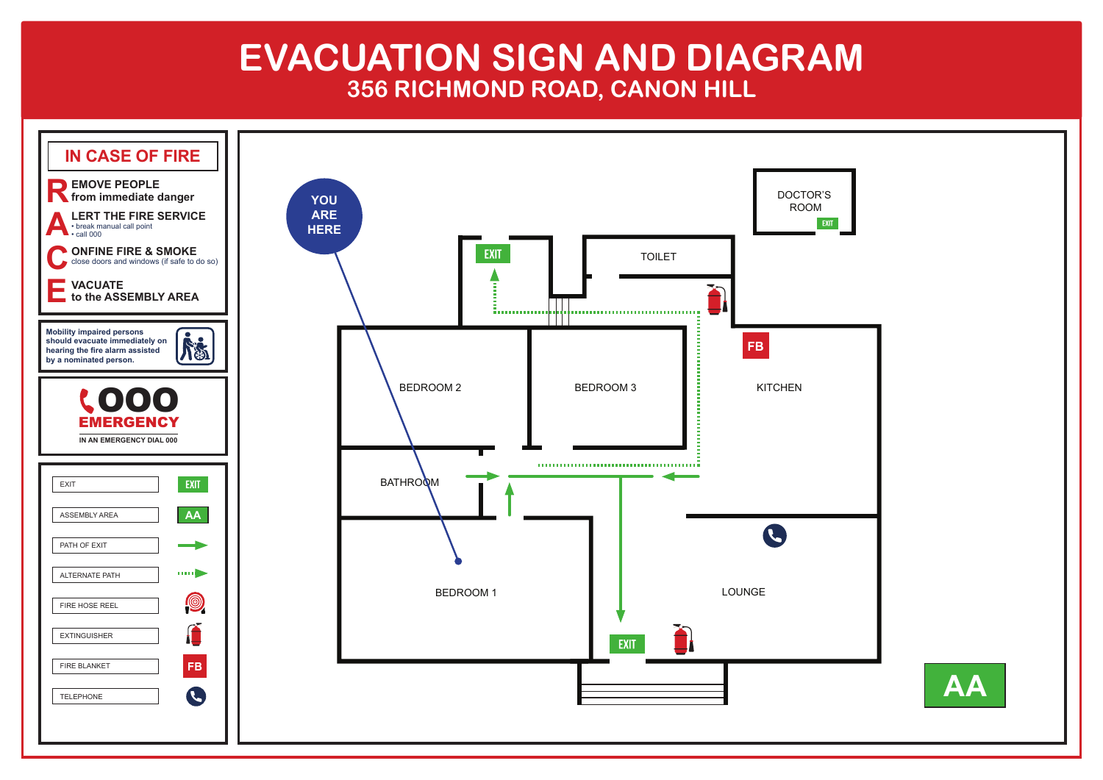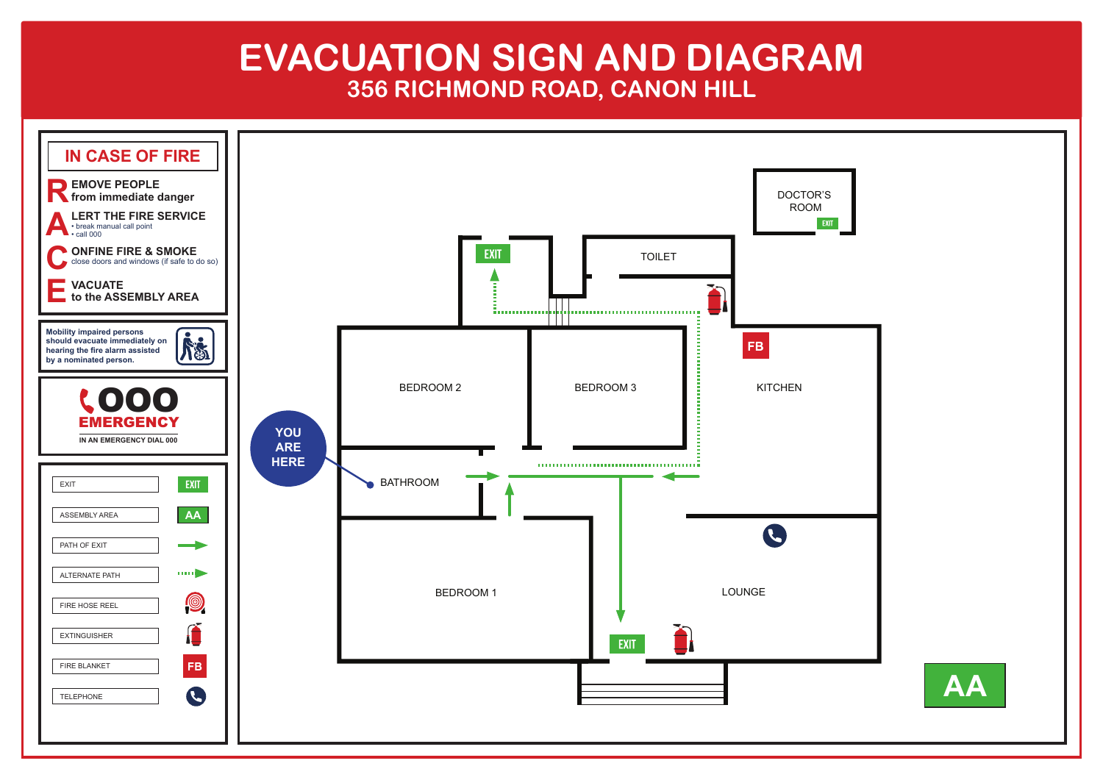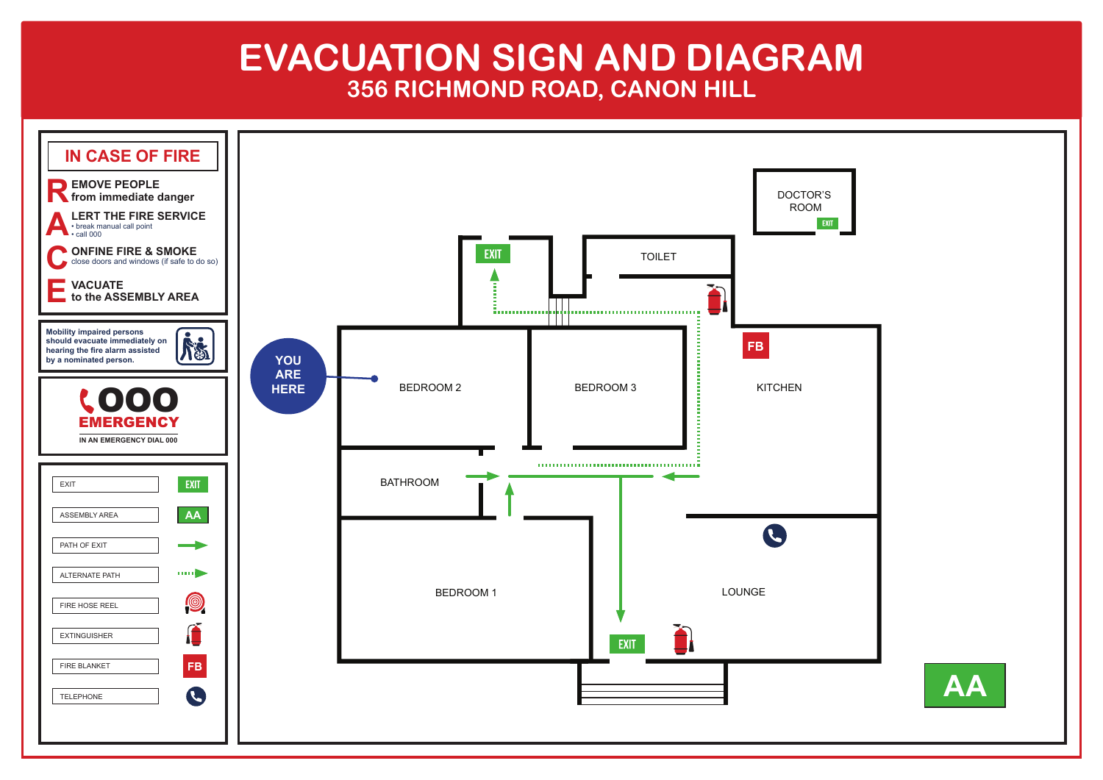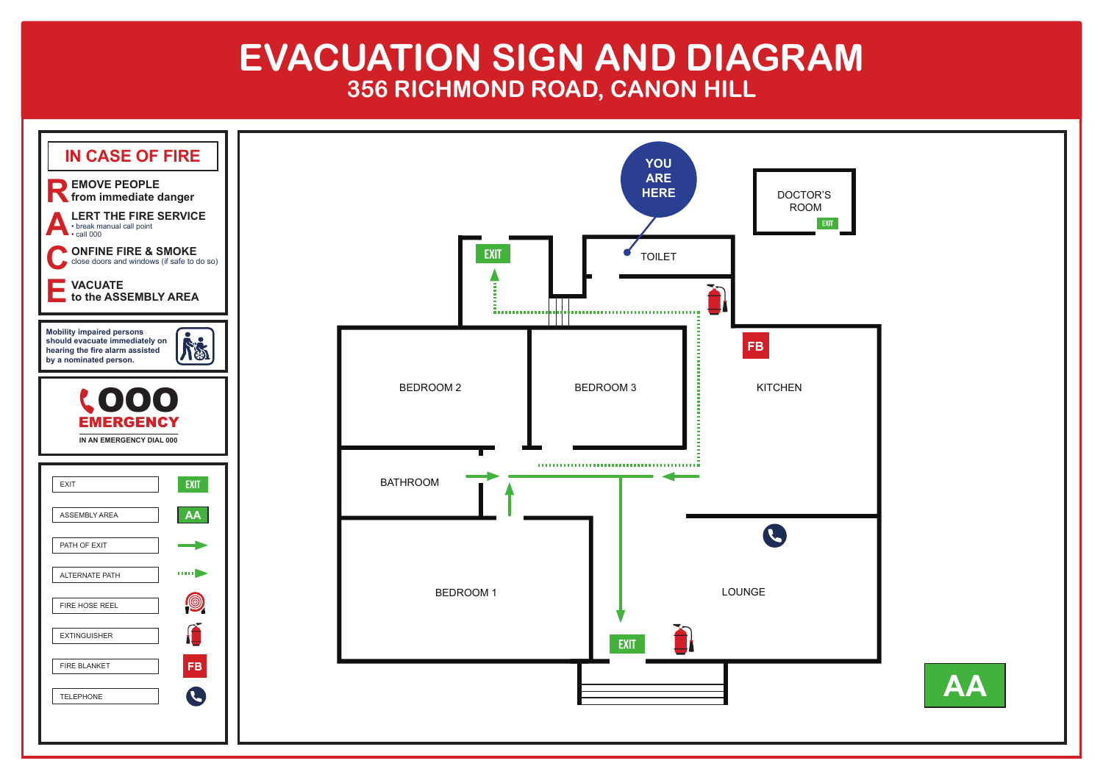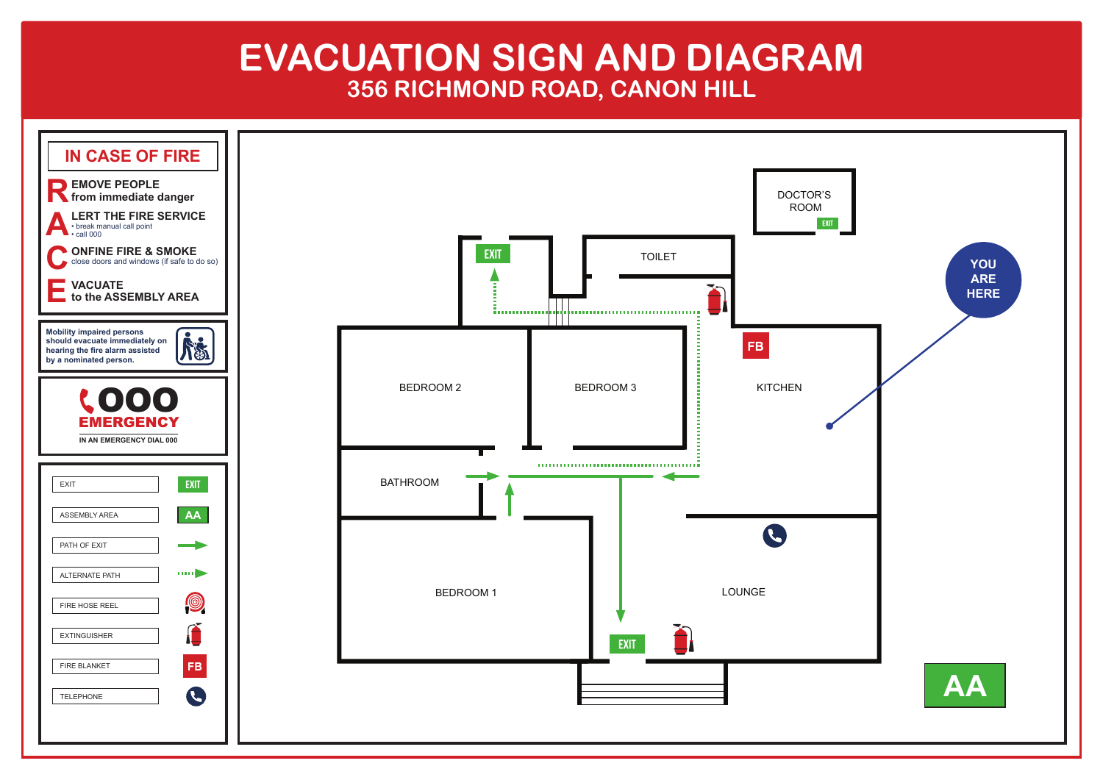

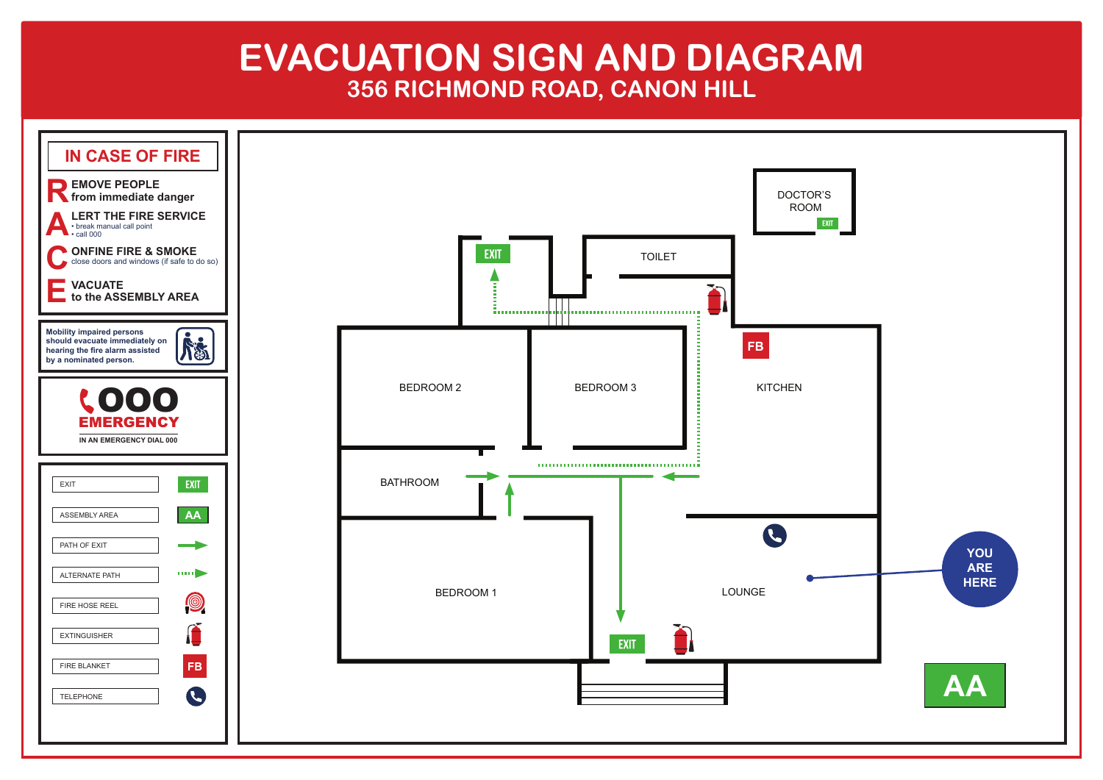